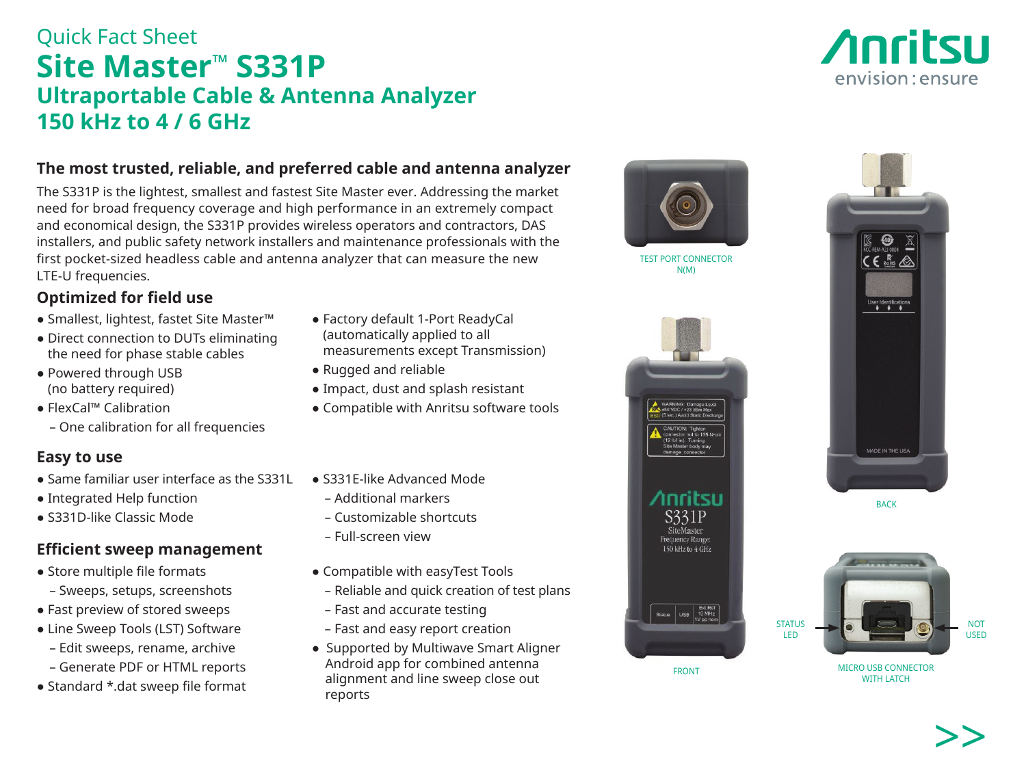# Quick Fact Sheet **Site Master™ S331P Ultraportable Cable & Antenna Analyzer 150 kHz to 4 / 6 GHz**

### **The most trusted, reliable, and preferred cable and antenna analyzer**

The S331P is the lightest, smallest and fastest Site Master ever. Addressing the market need for broad frequency coverage and high performance in an extremely compact and economical design, the S331P provides wireless operators and contractors, DAS installers, and public safety network installers and maintenance professionals with the first pocket-sized headless cable and antenna analyzer that can measure the new LTE-U frequencies.

## **Optimized for field use**

- Smallest, lightest, fastet Site Master™
- Direct connection to DUTs eliminating the need for phase stable cables
- Powered through USB (no battery required)
- FlexCal™ Calibration
	- One calibration for all frequencies

### **Easy to use**

- Same familiar user interface as the S331L
- Integrated Help function
- S331D-like Classic Mode

## **Efficient sweep management**

- Store multiple file formats
	- Sweeps, setups, screenshots
- Fast preview of stored sweeps
- Line Sweep Tools (LST) Software
- Edit sweeps, rename, archive
- Generate PDF or HTML reports
- Standard \*.dat sweep file format
- Factory default 1-Port ReadyCal (automatically applied to all measurements except Transmission)
- Rugged and reliable
- Impact, dust and splash resistant
- Compatible with Anritsu software tools
- S331E-like Advanced Mode
	- Additional markers
	- Customizable shortcuts
	- Full-screen view
- Compatible with easyTest Tools
- Reliable and quick creation of test plans
- Fast and accurate testing
- Fast and easy report creation
- Supported by Multiwave Smart Aligner Android app for combined antenna alignment and line sweep close out reports





TEST PORT CONNECTOR N(M)



FRONT



BACK



MICRO USB CONNECTOR WITH LATCH